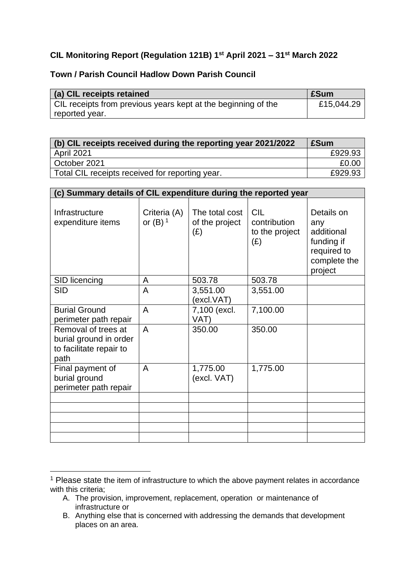## **CIL Monitoring Report (Regulation 121B) 1st April 2021 – 31st March 2022**

## **Town / Parish Council Hadlow Down Parish Council**

| (a) CIL receipts retained                                     | <b>ESum</b> |
|---------------------------------------------------------------|-------------|
| CIL receipts from previous years kept at the beginning of the | £15,044.29  |
| reported year.                                                |             |

| (b) CIL receipts received during the reporting year 2021/2022 | £Sum    |
|---------------------------------------------------------------|---------|
| <b>April 2021</b>                                             | £929.93 |
| October 2021                                                  | £0.00   |
| Total CIL receipts received for reporting year.               | £929.93 |

| (c) Summary details of CIL expenditure during the reported year                  |                                       |                                         |                                                     |                                                                                         |  |
|----------------------------------------------------------------------------------|---------------------------------------|-----------------------------------------|-----------------------------------------------------|-----------------------------------------------------------------------------------------|--|
| Infrastructure<br>expenditure items                                              | Criteria (A)<br>or $(B)$ <sup>1</sup> | The total cost<br>of the project<br>(E) | <b>CIL</b><br>contribution<br>to the project<br>(E) | Details on<br>any<br>additional<br>funding if<br>required to<br>complete the<br>project |  |
| SID licencing                                                                    | A                                     | 503.78                                  | 503.78                                              |                                                                                         |  |
| <b>SID</b>                                                                       | A                                     | 3,551.00<br>(excl.VAT)                  | 3,551.00                                            |                                                                                         |  |
| <b>Burial Ground</b><br>perimeter path repair                                    | A                                     | 7,100 (excl.<br>VAT)                    | 7,100.00                                            |                                                                                         |  |
| Removal of trees at<br>burial ground in order<br>to facilitate repair to<br>path | A                                     | 350.00                                  | 350.00                                              |                                                                                         |  |
| Final payment of<br>burial ground<br>perimeter path repair                       | A                                     | 1,775.00<br>(excl. VAT)                 | 1,775.00                                            |                                                                                         |  |
|                                                                                  |                                       |                                         |                                                     |                                                                                         |  |
|                                                                                  |                                       |                                         |                                                     |                                                                                         |  |
|                                                                                  |                                       |                                         |                                                     |                                                                                         |  |
|                                                                                  |                                       |                                         |                                                     |                                                                                         |  |
|                                                                                  |                                       |                                         |                                                     |                                                                                         |  |

<sup>&</sup>lt;sup>1</sup> Please state the item of infrastructure to which the above payment relates in accordance with this criteria;

A. The provision, improvement, replacement, operation or maintenance of infrastructure or

B. Anything else that is concerned with addressing the demands that development places on an area.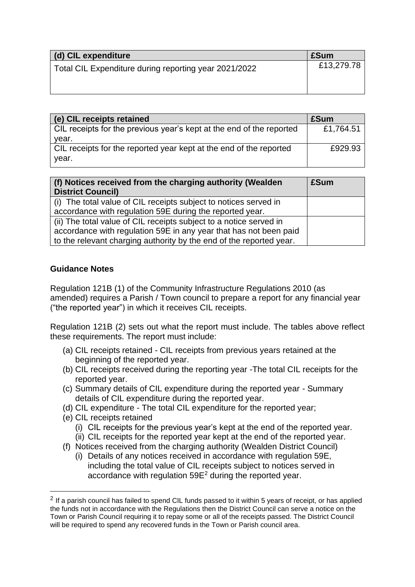| (d) CIL expenditure                                   | £Sum       |
|-------------------------------------------------------|------------|
| Total CIL Expenditure during reporting year 2021/2022 | £13,279.78 |

| (e) CIL receipts retained                                            | £Sum      |
|----------------------------------------------------------------------|-----------|
| CIL receipts for the previous year's kept at the end of the reported | £1,764.51 |
| vear.                                                                |           |
| CIL receipts for the reported year kept at the end of the reported   | £929.93   |
| year.                                                                |           |

| (f) Notices received from the charging authority (Wealden<br><b>District Council)</b> | £Sum |
|---------------------------------------------------------------------------------------|------|
| (i) The total value of CIL receipts subject to notices served in                      |      |
| accordance with regulation 59E during the reported year.                              |      |
| (ii) The total value of CIL receipts subject to a notice served in                    |      |
| accordance with regulation 59E in any year that has not been paid                     |      |
| to the relevant charging authority by the end of the reported year.                   |      |

## **Guidance Notes**

Regulation 121B (1) of the Community Infrastructure Regulations 2010 (as amended) requires a Parish / Town council to prepare a report for any financial year ("the reported year") in which it receives CIL receipts.

Regulation 121B (2) sets out what the report must include. The tables above reflect these requirements. The report must include:

- (a) CIL receipts retained CIL receipts from previous years retained at the beginning of the reported year.
- (b) CIL receipts received during the reporting year -The total CIL receipts for the reported year.
- (c) Summary details of CIL expenditure during the reported year Summary details of CIL expenditure during the reported year.
- (d) CIL expenditure The total CIL expenditure for the reported year;
- (e) CIL receipts retained
	- (i) CIL receipts for the previous year's kept at the end of the reported year.
	- (ii) CIL receipts for the reported year kept at the end of the reported year.
- (f) Notices received from the charging authority (Wealden District Council)
	- (i) Details of any notices received in accordance with regulation 59E, including the total value of CIL receipts subject to notices served in accordance with regulation 59E<sup>2</sup> during the reported year.

 $2$  If a parish council has failed to spend CIL funds passed to it within 5 years of receipt, or has applied the funds not in accordance with the Regulations then the District Council can serve a notice on the Town or Parish Council requiring it to repay some or all of the receipts passed. The District Council will be required to spend any recovered funds in the Town or Parish council area.